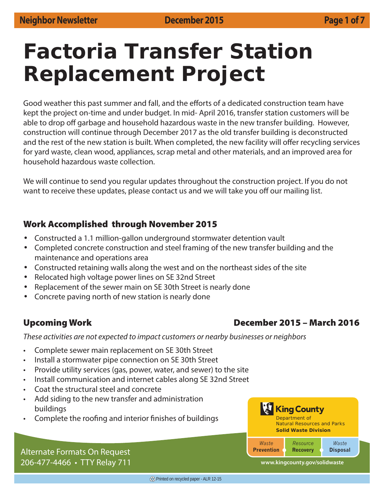## **Factoria Transfer Station Replacement Project**

Good weather this past summer and fall, and the efforts of a dedicated construction team have kept the project on-time and under budget. In mid- April 2016, transfer station customers will be able to drop off garbage and household hazardous waste in the new transfer building. However, construction will continue through December 2017 as the old transfer building is deconstructed and the rest of the new station is built. When completed, the new facility will offer recycling services for yard waste, clean wood, appliances, scrap metal and other materials, and an improved area for household hazardous waste collection.

We will continue to send you regular updates throughout the construction project. If you do not want to receive these updates, please contact us and we will take you off our mailing list.

#### **Work Accomplished through November 2015**

- Constructed a 1.1 million-gallon underground stormwater detention vault
- Completed concrete construction and steel framing of the new transfer building and the maintenance and operations area
- Constructed retaining walls along the west and on the northeast sides of the site
- Relocated high voltage power lines on SE 32nd Street
- Replacement of the sewer main on SE 30th Street is nearly done
- Concrete paving north of new station is nearly done

#### **Upcoming Work December 2015 – March 2016**

These activities are not expected to impact customers or nearby businesses or neighbors

- Complete sewer main replacement on SE 30th Street
- Install a stormwater pipe connection on SE 30th Street
- Provide utility services (gas, power, water, and sewer) to the site
- Install communication and internet cables along SE 32nd Street
- Coat the structural steel and concrete
- Add siding to the new transfer and administration buildings
- Complete the roofing and interior finishes of buildings



Alternate Formats On Request 206-477-4466 • TTY Relay 711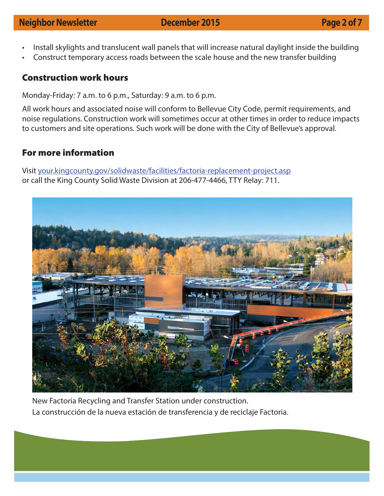### **Neighbor Newsletter December 2015 Page 2 of 7**

- Install skylights and translucent wall panels that will increase natural daylight inside the building
- Construct temporary access roads between the scale house and the new transfer building

#### **Construction work hours**

Monday-Friday: 7 a.m. to 6 p.m., Saturday: 9 a.m. to 6 p.m.

All work hours and associated noise will conform to Bellevue City Code, permit requirements, and noise regulations. Construction work will sometimes occur at other times in order to reduce impacts to customers and site operations. Such work will be done with the City of Bellevue's approval.

#### **For more information**

Visit your.kingcounty.gov/solidwaste/facilities/factoria-replacement-project.asp or call the King County Solid Waste Division at 206-477-4466, TTY Relay: 711.



New Factoria Recycling and Transfer Station under construction. La construcción de la nueva estación de transferencia y de reciclaje Factoria.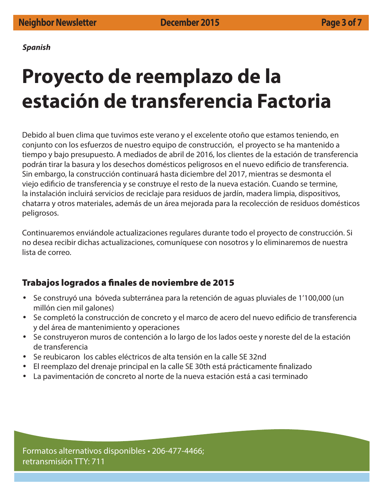**Spanish**

# **Proyecto de reemplazo de la estación de transferencia Factoria**

Debido al buen clima que tuvimos este verano y el excelente otoño que estamos teniendo, en conjunto con los esfuerzos de nuestro equipo de construcción, el proyecto se ha mantenido a tiempo y bajo presupuesto. A mediados de abril de 2016, los clientes de la estación de transferencia podrán tirar la basura y los desechos domésticos peligrosos en el nuevo edificio de transferencia. Sin embargo, la construcción continuará hasta diciembre del 2017, mientras se desmonta el viejo edificio de transferencia y se construye el resto de la nueva estación. Cuando se termine, la instalación incluirá servicios de reciclaje para residuos de jardín, madera limpia, dispositivos, chatarra y otros materiales, además de un área mejorada para la recolección de residuos domésticos peligrosos.

Continuaremos enviándole actualizaciones regulares durante todo el proyecto de construcción. Si no desea recibir dichas actualizaciones, comuníquese con nosotros y lo eliminaremos de nuestra lista de correo.

#### **Trabajos logrados a finales de noviembre de 2015**

- Se construyó una bóveda subterránea para la retención de aguas pluviales de 1'100,000 (un millón cien mil galones)
- Se completó la construcción de concreto y el marco de acero del nuevo edificio de transferencia y del área de mantenimiento y operaciones
- Se construyeron muros de contención a lo largo de los lados oeste y noreste del de la estación de transferencia
- Se reubicaron los cables eléctricos de alta tensión en la calle SE 32nd
- El reemplazo del drenaje principal en la calle SE 30th está prácticamente finalizado
- La pavimentación de concreto al norte de la nueva estación está a casi terminado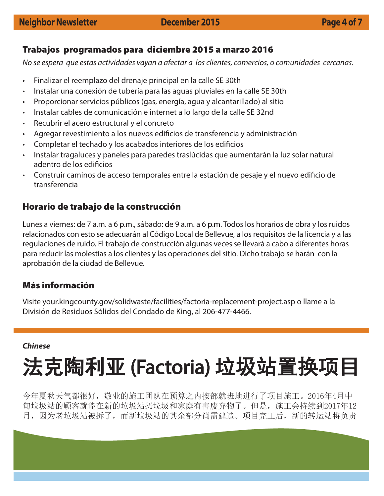#### **Trabajos programados para diciembre 2015 a marzo 2016**

No se espera que estas actividades vayan a afectar a los clientes, comercios, o comunidades cercanas.

- Finalizar el reemplazo del drenaje principal en la calle SE 30th
- Instalar una conexión de tubería para las aguas pluviales en la calle SE 30th
- Proporcionar servicios públicos (gas, energía, agua y alcantarillado) al sitio
- Instalar cables de comunicación e internet a lo largo de la calle SE 32nd
- Recubrir el acero estructural y el concreto
- Agregar revestimiento a los nuevos edificios de transferencia y administración
- Completar el techado y los acabados interiores de los edificios
- Instalar tragaluces y paneles para paredes traslúcidas que aumentarán la luz solar natural adentro de los edificios
- Construir caminos de acceso temporales entre la estación de pesaje y el nuevo edifi cio de transferencia

## **Horario de trabajo de la construcción**

Lunes a viernes: de 7 a.m. a 6 p.m., sábado: de 9 a.m. a 6 p.m. Todos los horarios de obra y los ruidos relacionados con esto se adecuarán al Código Local de Bellevue, a los requisitos de la licencia y a las regulaciones de ruido. El trabajo de construcción algunas veces se llevará a cabo a diferentes horas para reducir las molestias a los clientes y las operaciones del sitio. Dicho trabajo se harán con la aprobación de la ciudad de Bellevue.

## **Más información**

Visite your.kingcounty.gov/solidwaste/facilities/factoria-replacement-project.asp o llame a la División de Residuos Sólidos del Condado de King, al 206-477-4466.

#### **Chinese**

# 法克陶利亚 (Factoria) 垃圾站置换项目

今年夏秋天气都很好,敬业的施工团队在预算之内按部就班地进行了项目施工。2016年4月中 旬垃圾站的顾客就能在新的垃圾站扔垃圾和家庭有害废弃物了。但是,施工会持续到2017年12 月,因为老垃圾站被拆了,而新垃圾站的其余部分尚需建造。项目完工后,新的转运站将负责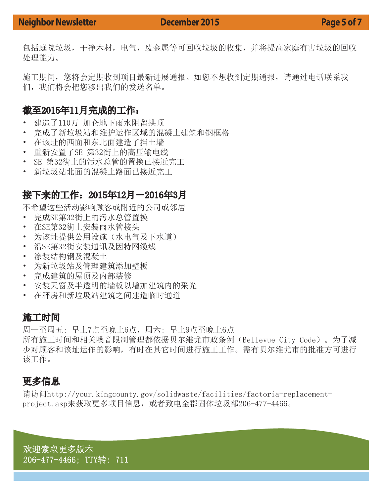#### **Neighbor Newsletter December 2015 December 2016**

包括庭院垃圾,干净木材,电气,废金属等可回收垃圾的收集,并将提高家庭有害垃圾的回收 处理能力。

施工期间,您将会定期收到项目最新进展通报。如您不想收到定期通报,请通过电话联系我 们,我们将会把您移出我们的发送名单。

#### 截至2015年11月完成的工作:

- 建造了110万 加仑地下雨水阻留拱顶
- 完成了新垃圾站和维护运作区域的混凝土建筑和钢框格
- 在该址的西面和东北面建造了挡土墙
- 重新安置了SE 第32街上的高压输电线
- SE 第32街上的污水总管的置换已接近完工
- 新垃圾站北面的混凝土路面已接近完工

### 接下来的工作:2015年12月-2016年3月

不希望这些活动影响顾客或附近的公司或邻居

- 完成SE第32街上的污水总管置换
- 在SE第32街上安装雨水管接头
- 为该址提供公用设施(水电气及下水道)
- 沿SE第32街安装通讯及因特网缆线
- 涂装结构钢及混凝土
- 为新垃圾站及管理建筑添加壁板
- 完成建筑的屋顶及内部装修
- 安装天窗及半透明的墙板以增加建筑内的采光
- 在秤房和新垃圾站建筑之间建造临时通道

#### 施工时间

周一至周五: 早上7点至晚上6点,周六: 早上9点至晚上6点 所有施工时间和相关噪音限制管理都依据贝尔维尤市政条例(Bellevue City Code)。为了减 少对顾客和该址运作的影响,有时在其它时间进行施工工作。需有贝尔维尤市的批准方可进行 该工作。

## 更多信息

请访问http://your.kingcounty.gov/solidwaste/facilities/factoria-replacementproject.asp来获取更多项目信息,或者致电金郡固体垃圾部206-477-4466。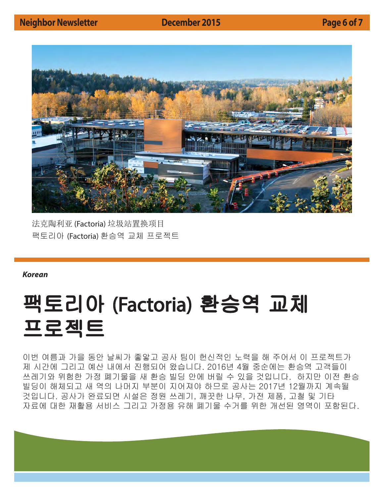

法克陶利亚 (Factoria) 垃圾站置换项目 팩토리아 (Factoria) 환승역 교체 프로젝트

#### **Korean**

# 팩토리아 (Factoria) 환승역 교체 프로젝트

이번 여름과 가을 동안 날씨가 좋앟고 공사 팀이 헌신적인 노력을 해 주어서 이 프로젝트가 제 시간에 그리고 예산 내에서 진행되어 왔습니다. 2016년 4월 중순에는 환승역 고객들이 쓰레기와 위험한 가정 폐기물을 새 환승 빌딩 안에 버릴 수 있을 것입니다. 하지만 이전 환승 빌딩이 해체되고 새 역의 나머지 부분이 지어져야 하므로 공사는 2017년 12월까지 계속될 것입니다. 공사가 완료되면 시설은 정원 쓰레기, 깨끗한 나무, 가전 제품, 고철 및 기타 자료에 대한 재활용 서비스 그리고 가정용 유해 폐기물 수거를 위한 개선된 영역이 포함된다.